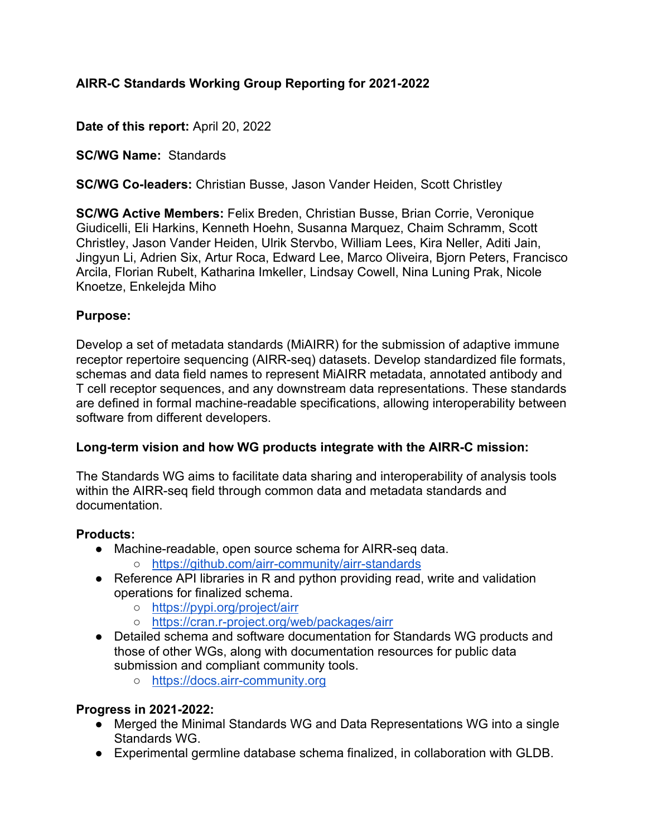# **AIRR-C Standards Working Group Reporting for 2021-2022**

**Date of this report:** April 20, 2022

**SC/WG Name:** Standards

**SC/WG Co-leaders:** Christian Busse, Jason Vander Heiden, Scott Christley

**SC/WG Active Members:** Felix Breden, Christian Busse, Brian Corrie, Veronique Giudicelli, Eli Harkins, Kenneth Hoehn, Susanna Marquez, Chaim Schramm, Scott Christley, Jason Vander Heiden, Ulrik Stervbo, William Lees, Kira Neller, Aditi Jain, Jingyun Li, Adrien Six, Artur Roca, Edward Lee, Marco Oliveira, Bjorn Peters, Francisco Arcila, Florian Rubelt, Katharina Imkeller, Lindsay Cowell, Nina Luning Prak, Nicole Knoetze, Enkelejda Miho

### **Purpose:**

Develop a set of metadata standards (MiAIRR) for the submission of adaptive immune receptor repertoire sequencing (AIRR-seq) datasets. Develop standardized file formats, schemas and data field names to represent MiAIRR metadata, annotated antibody and T cell receptor sequences, and any downstream data representations. These standards are defined in formal machine-readable specifications, allowing interoperability between software from different developers.

# **Long-term vision and how WG products integrate with the AIRR-C mission:**

The Standards WG aims to facilitate data sharing and interoperability of analysis tools within the AIRR-seq field through common data and metadata standards and documentation.

#### **Products:**

- Machine-readable, open source schema for AIRR-seq data.
	- https://github.com/airr-community/airr-standards
- Reference API libraries in R and python providing read, write and validation operations for finalized schema.
	- https://pypi.org/project/airr
	- https://cran.r-project.org/web/packages/airr
- Detailed schema and software documentation for Standards WG products and those of other WGs, along with documentation resources for public data submission and compliant community tools.
	- https://docs.airr-community.org

# **Progress in 2021-2022:**

- Merged the Minimal Standards WG and Data Representations WG into a single Standards WG.
- Experimental germline database schema finalized, in collaboration with GLDB.